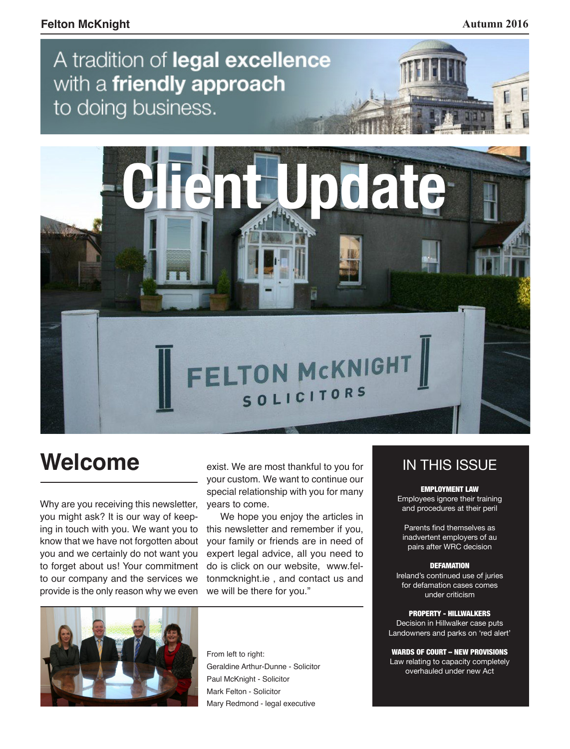## A tradition of legal excellence with a friendly approach to doing business.



# **Welcome**

Why are you receiving this newsletter, you might ask? It is our way of keeping in touch with you. We want you to know that we have not forgotten about you and we certainly do not want you to forget about us! Your commitment to our company and the services we provide is the only reason why we even

exist. We are most thankful to you for your custom. We want to continue our special relationship with you for many years to come.

We hope you enjoy the articles in this newsletter and remember if you, your family or friends are in need of expert legal advice, all you need to do is click on our website, www.feltonmcknight.ie , and contact us and we will be there for you."



From left to right: Geraldine Arthur-Dunne - Solicitor Paul McKnight - Solicitor Mark Felton - Solicitor Mary Redmond - legal executive

### IN THIS ISSUE

EMPLOYMENT LAW Employees ignore their training and procedures at their peril

Parents find themselves as inadvertent employers of au pairs after WRC decision

#### **DEFAMATION**

Ireland's continued use of juries for defamation cases comes under criticism

#### PROPERTY - HILLWALKERS

Decision in Hillwalker case puts Landowners and parks on 'red alert'

WARDS OF COURT – NEW PROVISIONS Law relating to capacity completely overhauled under new Act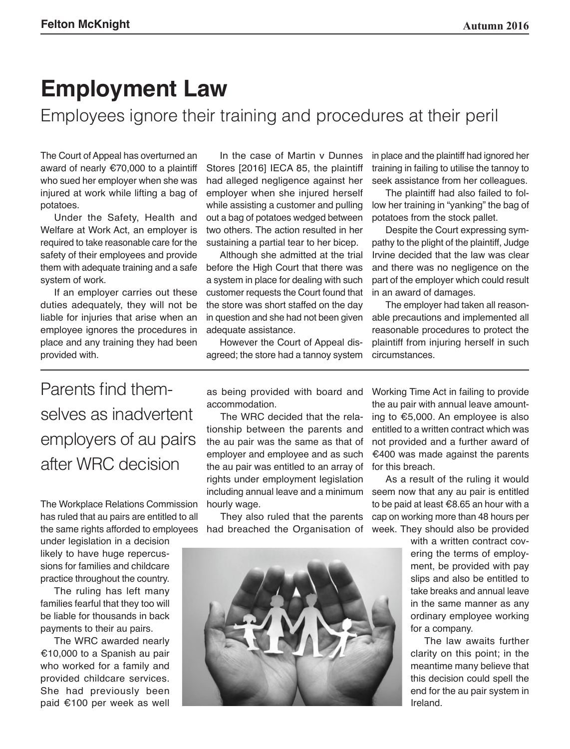## **Employment Law**

Employees ignore their training and procedures at their peril

The Court of Appeal has overturned an award of nearly €70,000 to a plaintiff who sued her employer when she was injured at work while lifting a bag of potatoes.

Under the Safety, Health and Welfare at Work Act, an employer is required to take reasonable care for the safety of their employees and provide them with adequate training and a safe system of work.

If an employer carries out these duties adequately, they will not be liable for injuries that arise when an employee ignores the procedures in place and any training they had been provided with.

In the case of Martin v Dunnes Stores [2016] IECA 85, the plaintiff had alleged negligence against her employer when she injured herself while assisting a customer and pulling out a bag of potatoes wedged between two others. The action resulted in her sustaining a partial tear to her bicep.

Although she admitted at the trial before the High Court that there was a system in place for dealing with such customer requests the Court found that the store was short staffed on the day in question and she had not been given adequate assistance.

However the Court of Appeal disagreed; the store had a tannoy system

in place and the plaintiff had ignored her training in failing to utilise the tannoy to seek assistance from her colleagues.

The plaintiff had also failed to follow her training in "yanking" the bag of potatoes from the stock pallet.

Despite the Court expressing sympathy to the plight of the plaintiff, Judge Irvine decided that the law was clear and there was no negligence on the part of the employer which could result in an award of damages.

The employer had taken all reasonable precautions and implemented all reasonable procedures to protect the plaintiff from injuring herself in such circumstances.

Parents find themselves as inadvertent employers of au pairs after WRC decision

The Workplace Relations Commission has ruled that au pairs are entitled to all the same rights afforded to employees

under legislation in a decision likely to have huge repercussions for families and childcare practice throughout the country.

The ruling has left many families fearful that they too will be liable for thousands in back payments to their au pairs.

The WRC awarded nearly €10,000 to a Spanish au pair who worked for a family and provided childcare services. She had previously been paid €100 per week as well

as being provided with board and accommodation.

The WRC decided that the relationship between the parents and the au pair was the same as that of employer and employee and as such the au pair was entitled to an array of rights under employment legislation including annual leave and a minimum hourly wage.

They also ruled that the parents had breached the Organisation of



Working Time Act in failing to provide the au pair with annual leave amounting to €5,000. An employee is also entitled to a written contract which was not provided and a further award of €400 was made against the parents for this breach.

As a result of the ruling it would seem now that any au pair is entitled to be paid at least €8.65 an hour with a cap on working more than 48 hours per week. They should also be provided

> with a written contract covering the terms of employment, be provided with pay slips and also be entitled to take breaks and annual leave in the same manner as any ordinary employee working for a company.

> The law awaits further clarity on this point; in the meantime many believe that this decision could spell the end for the au pair system in Ireland.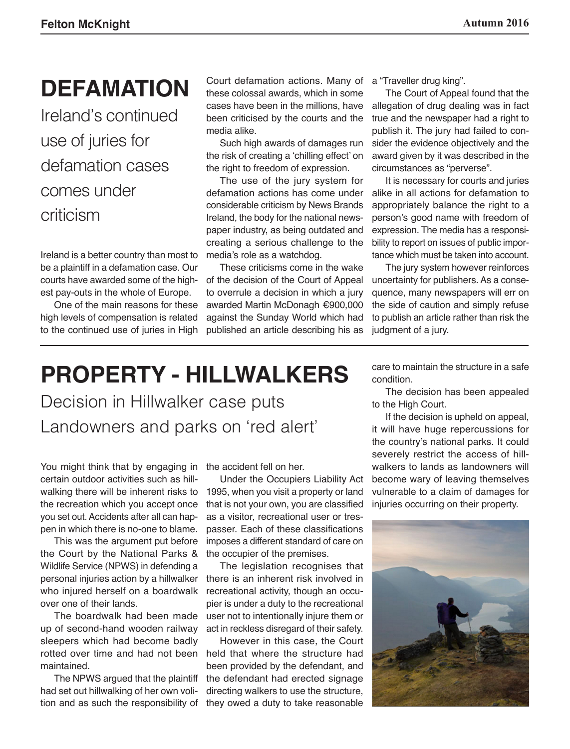## **DEFAMATION**

Ireland's continued use of juries for defamation cases comes under criticism

Ireland is a better country than most to be a plaintiff in a defamation case. Our courts have awarded some of the highest pay-outs in the whole of Europe.

One of the main reasons for these high levels of compensation is related to the continued use of juries in High

Court defamation actions. Many of these colossal awards, which in some cases have been in the millions, have been criticised by the courts and the media alike.

Such high awards of damages run the risk of creating a 'chilling effect' on the right to freedom of expression.

The use of the jury system for defamation actions has come under considerable criticism by News Brands Ireland, the body for the national newspaper industry, as being outdated and creating a serious challenge to the media's role as a watchdog.

These criticisms come in the wake of the decision of the Court of Appeal to overrule a decision in which a jury awarded Martin McDonagh €900,000 against the Sunday World which had published an article describing his as

a "Traveller drug king".

The Court of Appeal found that the allegation of drug dealing was in fact true and the newspaper had a right to publish it. The jury had failed to consider the evidence objectively and the award given by it was described in the circumstances as "perverse".

It is necessary for courts and juries alike in all actions for defamation to appropriately balance the right to a person's good name with freedom of expression. The media has a responsibility to report on issues of public importance which must be taken into account.

The jury system however reinforces uncertainty for publishers. As a consequence, many newspapers will err on the side of caution and simply refuse to publish an article rather than risk the judgment of a jury.

# **PROPERTY - HILLWALKERS**

Decision in Hillwalker case puts Landowners and parks on 'red alert'

You might think that by engaging in certain outdoor activities such as hillwalking there will be inherent risks to the recreation which you accept once you set out. Accidents after all can happen in which there is no-one to blame.

This was the argument put before the Court by the National Parks & Wildlife Service (NPWS) in defending a personal injuries action by a hillwalker who injured herself on a boardwalk over one of their lands.

The boardwalk had been made up of second-hand wooden railway sleepers which had become badly rotted over time and had not been maintained.

The NPWS argued that the plaintiff had set out hillwalking of her own volition and as such the responsibility of the accident fell on her.

Under the Occupiers Liability Act 1995, when you visit a property or land that is not your own, you are classified as a visitor, recreational user or trespasser. Each of these classifications imposes a different standard of care on the occupier of the premises.

The legislation recognises that there is an inherent risk involved in recreational activity, though an occupier is under a duty to the recreational user not to intentionally injure them or act in reckless disregard of their safety.

However in this case, the Court held that where the structure had been provided by the defendant, and the defendant had erected signage directing walkers to use the structure, they owed a duty to take reasonable

care to maintain the structure in a safe condition.

The decision has been appealed to the High Court.

If the decision is upheld on appeal, it will have huge repercussions for the country's national parks. It could severely restrict the access of hillwalkers to lands as landowners will become wary of leaving themselves vulnerable to a claim of damages for injuries occurring on their property.